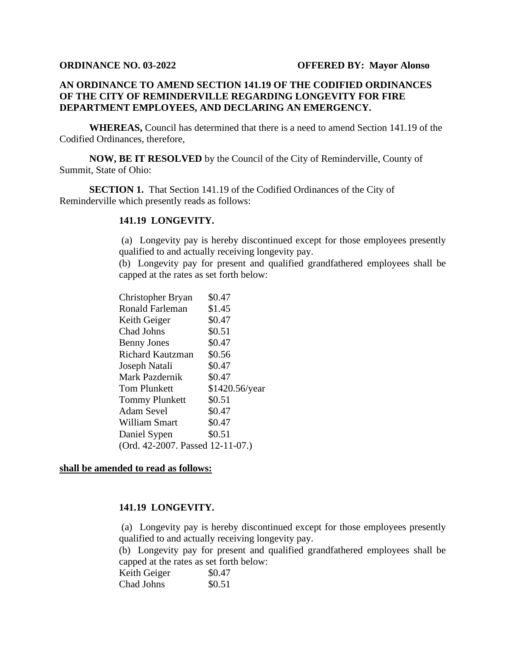## **AN ORDINANCE TO AMEND SECTION 141.19 OF THE CODIFIED ORDINANCES OF THE CITY OF REMINDERVILLE REGARDING LONGEVITY FOR FIRE DEPARTMENT EMPLOYEES, AND DECLARING AN EMERGENCY.**

**WHEREAS,** Council has determined that there is a need to amend Section 141.19 of the Codified Ordinances, therefore,

**NOW, BE IT RESOLVED** by the Council of the City of Reminderville, County of Summit, State of Ohio:

**SECTION 1.** That Section 141.19 of the Codified Ordinances of the City of Reminderville which presently reads as follows:

## **141.19 LONGEVITY.**

(a) Longevity pay is hereby discontinued except for those employees presently qualified to and actually receiving longevity pay.

(b) Longevity pay for present and qualified grandfathered employees shall be capped at the rates as set forth below:

| Christopher Bryan                | \$0.47         |  |
|----------------------------------|----------------|--|
| Ronald Farleman                  | \$1.45         |  |
| Keith Geiger                     | \$0.47         |  |
| Chad Johns                       | \$0.51         |  |
| <b>Benny Jones</b>               | \$0.47         |  |
| Richard Kautzman                 | \$0.56         |  |
| Joseph Natali                    | \$0.47         |  |
| Mark Pazdernik                   | \$0.47         |  |
| Tom Plunkett                     | \$1420.56/year |  |
| <b>Tommy Plunkett</b>            | \$0.51         |  |
| Adam Sevel                       | \$0.47         |  |
| William Smart                    | \$0.47         |  |
| Daniel Sypen                     | \$0.51         |  |
| (Ord. 42-2007. Passed 12-11-07.) |                |  |

## **shall be amended to read as follows:**

## **141.19 LONGEVITY.**

(a) Longevity pay is hereby discontinued except for those employees presently qualified to and actually receiving longevity pay.

(b) Longevity pay for present and qualified grandfathered employees shall be capped at the rates as set forth below:

| Keith Geiger | \$0.47 |
|--------------|--------|
| Chad Johns   | \$0.51 |